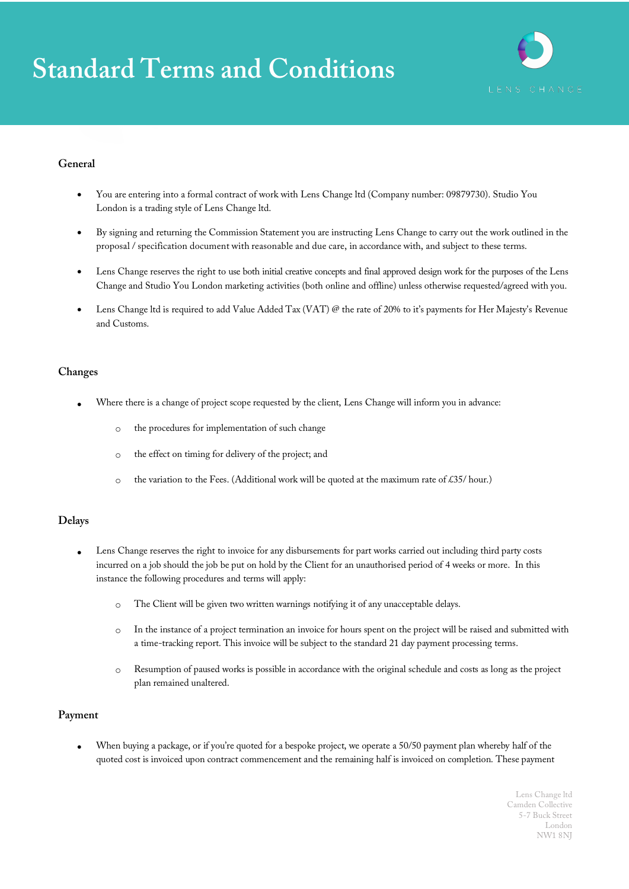# **Standard Terms and Conditions**



### **General**

- You are entering into a formal contract of work with Lens Change ltd (Company number: 09879730). Studio You London is a trading style of Lens Change ltd.
- By signing and returning the Commission Statement you are instructing Lens Change to carry out the work outlined in the proposal / specification document with reasonable and due care, in accordance with, and subject to these terms.
- Lens Change reserves the right to use both initial creative concepts and final approved design work for the purposes of the Lens Change and Studio You London marketing activities (both online and offline) unless otherwise requested/agreed with you.
- Lens Change ltd is required to add Value Added Tax (VAT) @ the rate of 20% to it's payments for Her Majesty's Revenue and Customs.

#### **Changes**

- Where there is a change of project scope requested by the client, Lens Change will inform you in advance:
	- o the procedures for implementation of such change
	- o the effect on timing for delivery of the project; and
	- $\circ$  the variation to the Fees. (Additional work will be quoted at the maximum rate of £35/ hour.)

#### **Delays**

- Lens Change reserves the right to invoice for any disbursements for part works carried out including third party costs incurred on a job should the job be put on hold by the Client for an unauthorised period of 4 weeks or more. In this instance the following procedures and terms will apply:
	- o The Client will be given two written warnings notifying it of any unacceptable delays.
	- o In the instance of a project termination an invoice for hours spent on the project will be raised and submitted with a time-tracking report. This invoice will be subject to the standard 21 day payment processing terms.
	- o Resumption of paused works is possible in accordance with the original schedule and costs as long as the project plan remained unaltered.

#### **Payment**

• When buying a package, or if you're quoted for a bespoke project, we operate a 50/50 payment plan whereby half of the quoted cost is invoiced upon contract commencement and the remaining half is invoiced on completion. These payment

> Lens Change ltd Camden Collective 5-7 Buck Street London NW1 8NJ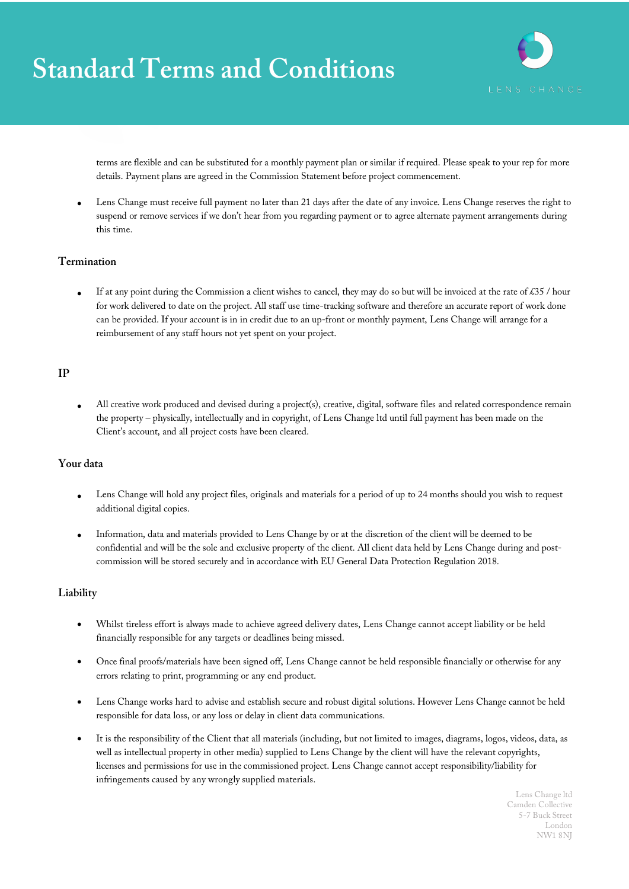## **Standard Terms and Conditions**



terms are flexible and can be substituted for a monthly payment plan or similar if required. Please speak to your rep for more details. Payment plans are agreed in the Commission Statement before project commencement.

Lens Change must receive full payment no later than 21 days after the date of any invoice. Lens Change reserves the right to suspend or remove services if we don't hear from you regarding payment or to agree alternate payment arrangements during this time.

#### **Termination**

If at any point during the Commission a client wishes to cancel, they may do so but will be invoiced at the rate of £35 / hour for work delivered to date on the project. All staff use time-tracking software and therefore an accurate report of work done can be provided. If your account is in in credit due to an up-front or monthly payment, Lens Change will arrange for a reimbursement of any staff hours not yet spent on your project.

### **IP**

• All creative work produced and devised during a project(s), creative, digital, software files and related correspondence remain the property – physically, intellectually and in copyright, of Lens Change ltd until full payment has been made on the Client's account, and all project costs have been cleared.

## **Your data**

- Lens Change will hold any project files, originals and materials for a period of up to 24 months should you wish to request additional digital copies.
- Information, data and materials provided to Lens Change by or at the discretion of the client will be deemed to be confidential and will be the sole and exclusive property of the client. All client data held by Lens Change during and postcommission will be stored securely and in accordance with EU General Data Protection Regulation 2018.

### **Liability**

- Whilst tireless effort is always made to achieve agreed delivery dates, Lens Change cannot accept liability or be held financially responsible for any targets or deadlines being missed.
- Once final proofs/materials have been signed off, Lens Change cannot be held responsible financially or otherwise for any errors relating to print, programming or any end product.
- Lens Change works hard to advise and establish secure and robust digital solutions. However Lens Change cannot be held responsible for data loss, or any loss or delay in client data communications.
- It is the responsibility of the Client that all materials (including, but not limited to images, diagrams, logos, videos, data, as well as intellectual property in other media) supplied to Lens Change by the client will have the relevant copyrights, licenses and permissions for use in the commissioned project. Lens Change cannot accept responsibility/liability for infringements caused by any wrongly supplied materials.

Lens Change ltd Camden Collective 5-7 Buck Street London NW1 8NJ